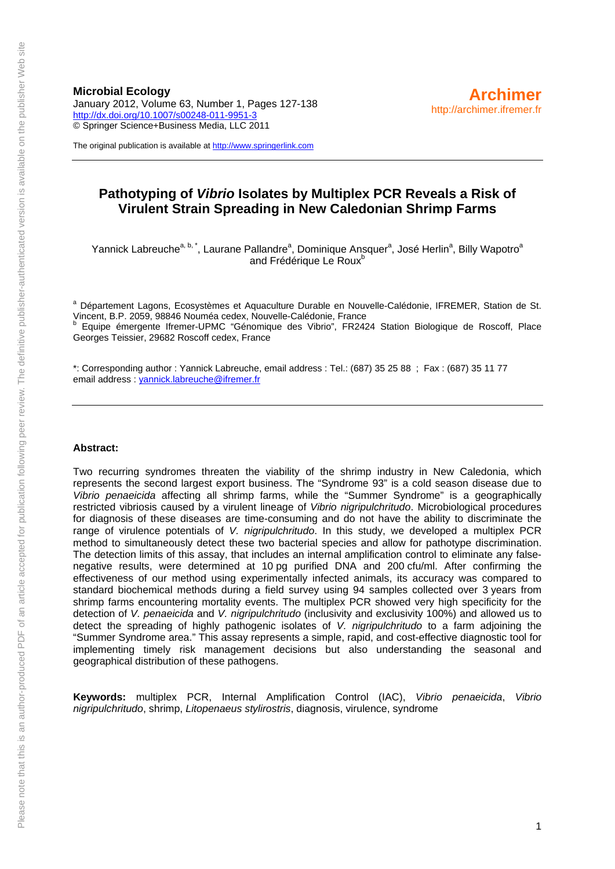January 2012, Volume 63, Number 1, Pages 127-138 <http://dx.doi.org/10.1007/s00248-011-9951-3> © Springer Science+Business Media, LLC 2011

The original publication is available at [http://www.springerlink.com](http://www.springerlink.com/)

# **Pathotyping of** *Vibrio* **Isolates by Multiplex PCR Reveals a Risk of Virulent Strain Spreading in New Caledonian Shrimp Farms**

Yannick Labreuche<sup>a, b,\*</sup>, Laurane Pallandre<sup>a</sup>, Dominique Ansquer<sup>a</sup>, José Herlin<sup>a</sup>, Billy Wapotro<sup>a</sup> and Frédérique Le Roux<sup>b</sup>

<sup>a</sup> Département Lagons, Ecosystèmes et Aquaculture Durable en Nouvelle-Calédonie, IFREMER, Station de St. Vincent, B.P. 2059, 98846 Nouméa cedex, Nouvelle-Calédonie, France b Equipe émergente Ifremer-UPMC "Génomique des Vibrio", FR2424 Station Biologique de Roscoff, Place Georges Teissier, 29682 Roscoff cedex, France

\*: Corresponding author : Yannick Labreuche, email address : Tel.: (687) 35 25 88 ; Fax : (687) 35 11 77 email address : [yannick.labreuche@ifremer.fr](mailto:yannick.labreuche@ifremer.fr)

#### **Abstract:**

Two recurring syndromes threaten the viability of the shrimp industry in New Caledonia, which represents the second largest export business. The "Syndrome 93" is a cold season disease due to *Vibrio penaeicida* affecting all shrimp farms, while the "Summer Syndrome" is a geographically restricted vibriosis caused by a virulent lineage of *Vibrio nigripulchritudo*. Microbiological procedures for diagnosis of these diseases are time-consuming and do not have the ability to discriminate the range of virulence potentials of *V. nigripulchritudo*. In this study, we developed a multiplex PCR method to simultaneously detect these two bacterial species and allow for pathotype discrimination. The detection limits of this assay, that includes an internal amplification control to eliminate any falsenegative results, were determined at 10 pg purified DNA and 200 cfu/ml. After confirming the effectiveness of our method using experimentally infected animals, its accuracy was compared to standard biochemical methods during a field survey using 94 samples collected over 3 years from shrimp farms encountering mortality events. The multiplex PCR showed very high specificity for the detection of *V. penaeicida* and *V. nigripulchritudo* (inclusivity and exclusivity 100%) and allowed us to detect the spreading of highly pathogenic isolates of *V. nigripulchritudo* to a farm adjoining the "Summer Syndrome area." This assay represents a simple, rapid, and cost-effective diagnostic tool for implementing timely risk management decisions but also understanding the seasonal and geographical distribution of these pathogens.

**Keywords:** multiplex PCR, Internal Amplification Control (IAC), *Vibrio penaeicida*, *Vibrio nigripulchritudo*, shrimp, *Litopenaeus stylirostris*, diagnosis, virulence, syndrome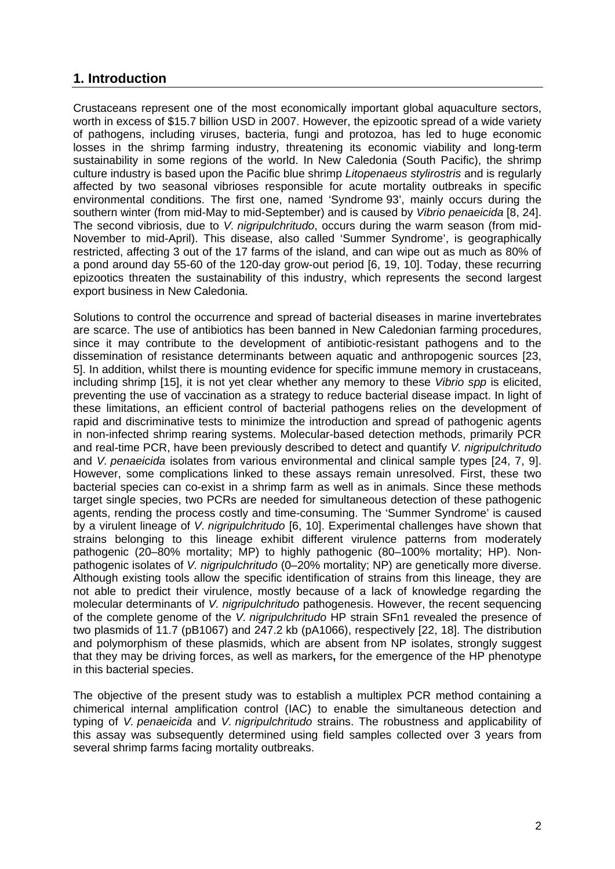# **1. Introduction**

Crustaceans represent one of the most economically important global aquaculture sectors, worth in excess of \$15.7 billion USD in 2007. However, the epizootic spread of a wide variety of pathogens, including viruses, bacteria, fungi and protozoa, has led to huge economic losses in the shrimp farming industry, threatening its economic viability and long-term sustainability in some regions of the world. In New Caledonia (South Pacific), the shrimp culture industry is based upon the Pacific blue shrimp *Litopenaeus stylirostris* and is regularly affected by two seasonal vibrioses responsible for acute mortality outbreaks in specific environmental conditions. The first one, named 'Syndrome 93', mainly occurs during the southern winter (from mid-May to mid-September) and is caused by *Vibrio penaeicida* [8, 24]. The second vibriosis, due to *V. nigripulchritudo*, occurs during the warm season (from mid-November to mid-April). This disease, also called 'Summer Syndrome', is geographically restricted, affecting 3 out of the 17 farms of the island, and can wipe out as much as 80% of a pond around day 55-60 of the 120-day grow-out period [6, 19, 10]. Today, these recurring epizootics threaten the sustainability of this industry, which represents the second largest export business in New Caledonia.

Solutions to control the occurrence and spread of bacterial diseases in marine invertebrates are scarce. The use of antibiotics has been banned in New Caledonian farming procedures, since it may contribute to the development of antibiotic-resistant pathogens and to the dissemination of resistance determinants between aquatic and anthropogenic sources [23, 5]. In addition, whilst there is mounting evidence for specific immune memory in crustaceans, including shrimp [15], it is not yet clear whether any memory to these *Vibrio spp* is elicited, preventing the use of vaccination as a strategy to reduce bacterial disease impact. In light of these limitations, an efficient control of bacterial pathogens relies on the development of rapid and discriminative tests to minimize the introduction and spread of pathogenic agents in non-infected shrimp rearing systems. Molecular-based detection methods, primarily PCR and real-time PCR, have been previously described to detect and quantify *V. nigripulchritudo* and *V. penaeicida* isolates from various environmental and clinical sample types [24, 7, 9]. However, some complications linked to these assays remain unresolved. First, these two bacterial species can co-exist in a shrimp farm as well as in animals. Since these methods target single species, two PCRs are needed for simultaneous detection of these pathogenic agents, rending the process costly and time-consuming. The 'Summer Syndrome' is caused by a virulent lineage of *V. nigripulchritudo* [6, 10]. Experimental challenges have shown that strains belonging to this lineage exhibit different virulence patterns from moderately pathogenic (20–80% mortality; MP) to highly pathogenic (80–100% mortality; HP). Nonpathogenic isolates of *V. nigripulchritudo* (0–20% mortality; NP) are genetically more diverse. Although existing tools allow the specific identification of strains from this lineage, they are not able to predict their virulence, mostly because of a lack of knowledge regarding the molecular determinants of *V. nigripulchritudo* pathogenesis. However, the recent sequencing of the complete genome of the *V. nigripulchritudo* HP strain SFn1 revealed the presence of two plasmids of 11.7 (pB1067) and 247.2 kb (pA1066), respectively [22, 18]. The distribution and polymorphism of these plasmids, which are absent from NP isolates, strongly suggest that they may be driving forces, as well as markers**,** for the emergence of the HP phenotype in this bacterial species.

The objective of the present study was to establish a multiplex PCR method containing a chimerical internal amplification control (IAC) to enable the simultaneous detection and typing of *V. penaeicida* and *V. nigripulchritudo* strains. The robustness and applicability of this assay was subsequently determined using field samples collected over 3 years from several shrimp farms facing mortality outbreaks.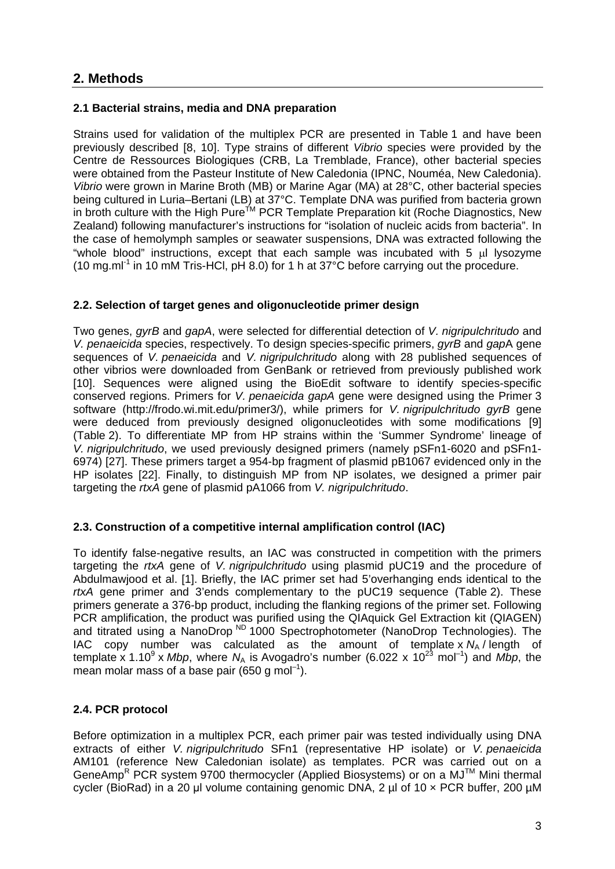#### **2.1 Bacterial strains, media and DNA preparation**

Strains used for validation of the multiplex PCR are presented in Table 1 and have been previously described [8, 10]. Type strains of different *Vibrio* species were provided by the Centre de Ressources Biologiques (CRB, La Tremblade, France), other bacterial species were obtained from the Pasteur Institute of New Caledonia (IPNC, Nouméa, New Caledonia). *Vibrio* were grown in Marine Broth (MB) or Marine Agar (MA) at 28°C, other bacterial species being cultured in Luria–Bertani (LB) at 37°C. Template DNA was purified from bacteria grown in broth culture with the High Pure<sup>TM</sup> PCR Template Preparation kit (Roche Diagnostics, New Zealand) following manufacturer's instructions for "isolation of nucleic acids from bacteria". In the case of hemolymph samples or seawater suspensions, DNA was extracted following the "whole blood" instructions, except that each sample was incubated with  $5 \mu$  lysozyme (10 mg.ml<sup>-1</sup> in 10 mM Tris-HCl, pH 8.0) for 1 h at 37 $\degree$ C before carrying out the procedure.

### **2.2. Selection of target genes and oligonucleotide primer design**

Two genes, *gyrB* and *gapA*, were selected for differential detection of *V. nigripulchritudo* and *V. penaeicida* species, respectively. To design species-specific primers, *gyrB* and *gap*A gene sequences of *V. penaeicida* and *V. nigripulchritudo* along with 28 published sequences of other vibrios were downloaded from GenBank or retrieved from previously published work [10]. Sequences were aligned using the BioEdit software to identify species-specific conserved regions. Primers for *V. penaeicida gapA* gene were designed using the Primer 3 software (http://frodo.wi.mit.edu/primer3/), while primers for *V. nigripulchritudo gyrB* gene were deduced from previously designed oligonucleotides with some modifications [9] (Table 2). To differentiate MP from HP strains within the 'Summer Syndrome' lineage of *V. nigripulchritudo*, we used previously designed primers (namely pSFn1-6020 and pSFn1- 6974) [27]. These primers target a 954-bp fragment of plasmid pB1067 evidenced only in the HP isolates [22]. Finally, to distinguish MP from NP isolates, we designed a primer pair targeting the *rtxA* gene of plasmid pA1066 from *V. nigripulchritudo*.

#### **2.3. Construction of a competitive internal amplification control (IAC)**

To identify false-negative results, an IAC was constructed in competition with the primers targeting the *rtxA* gene of *V. nigripulchritudo* using plasmid pUC19 and the procedure of Abdulmawjood et al. [1]. Briefly, the IAC primer set had 5'overhanging ends identical to the *rtxA* gene primer and 3'ends complementary to the pUC19 sequence (Table 2). These primers generate a 376-bp product, including the flanking regions of the primer set. Following PCR amplification, the product was purified using the QIAquick Gel Extraction kit (QIAGEN) and titrated using a NanoDrop  $N<sup>D</sup>$  1000 Spectrophotometer (NanoDrop Technologies). The IAC copy number was calculated as the amount of template x  $N_A$  / length of template x 1.10<sup>9</sup> x *Mbp*, where  $N_A$  is Avogadro's number (6.022 x 10<sup>23</sup> mol<sup>-1</sup>) and *Mbp*, the mean molar mass of a base pair (650 g mol<sup>-1</sup>).

### **2.4. PCR protocol**

Before optimization in a multiplex PCR, each primer pair was tested individually using DNA extracts of either *V. nigripulchritudo* SFn1 (representative HP isolate) or *V. penaeicida* AM101 (reference New Caledonian isolate) as templates. PCR was carried out on a GeneAmp<sup>R</sup> PCR system 9700 thermocycler (Applied Biosystems) or on a MJ<sup>TM</sup> Mini thermal cycler (BioRad) in a 20 μl volume containing genomic DNA, 2 µl of 10 × PCR buffer, 200 µM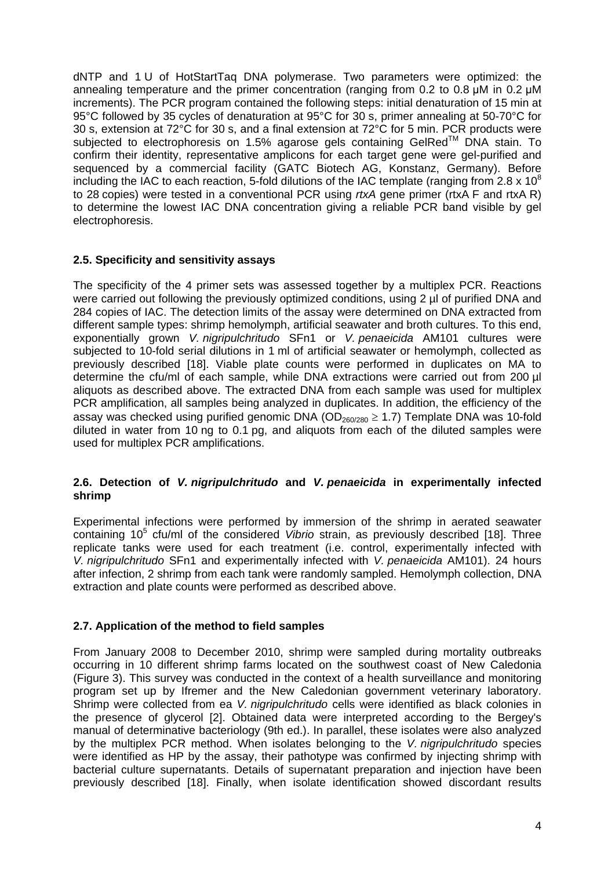dNTP and 1 U of HotStartTaq DNA polymerase. Two parameters were optimized: the annealing temperature and the primer concentration (ranging from 0.2 to 0.8 μM in 0.2 μM increments). The PCR program contained the following steps: initial denaturation of 15 min at 95°C followed by 35 cycles of denaturation at 95°C for 30 s, primer annealing at 50-70°C for 30 s, extension at 72°C for 30 s, and a final extension at 72°C for 5 min. PCR products were subjected to electrophoresis on 1.5% agarose gels containing GelRed™ DNA stain. To confirm their identity, representative amplicons for each target gene were gel-purified and sequenced by a commercial facility (GATC Biotech AG, Konstanz, Germany). Before including the IAC to each reaction, 5-fold dilutions of the IAC template (ranging from 2.8  $\times$  10<sup>8</sup> to 28 copies) were tested in a conventional PCR using *rtxA* gene primer (rtxA F and rtxA R) to determine the lowest IAC DNA concentration giving a reliable PCR band visible by gel electrophoresis.

#### **2.5. Specificity and sensitivity assays**

The specificity of the 4 primer sets was assessed together by a multiplex PCR. Reactions were carried out following the previously optimized conditions, using 2 µl of purified DNA and 284 copies of IAC. The detection limits of the assay were determined on DNA extracted from different sample types: shrimp hemolymph, artificial seawater and broth cultures. To this end, exponentially grown *V. nigripulchritudo* SFn1 or *V. penaeicida* AM101 cultures were subjected to 10-fold serial dilutions in 1 ml of artificial seawater or hemolymph, collected as previously described [18]. Viable plate counts were performed in duplicates on MA to determine the cfu/ml of each sample, while DNA extractions were carried out from 200 ul aliquots as described above. The extracted DNA from each sample was used for multiplex PCR amplification, all samples being analyzed in duplicates. In addition, the efficiency of the assay was checked using purified genomic DNA (OD<sub>260/280</sub>  $\geq$  1.7) Template DNA was 10-fold diluted in water from 10 ng to 0.1 pg, and aliquots from each of the diluted samples were used for multiplex PCR amplifications.

#### **2.6. Detection of** *V. nigripulchritudo* **and** *V. penaeicida* **in experimentally infected shrimp**

Experimental infections were performed by immersion of the shrimp in aerated seawater containing 10<sup>5</sup> cfu/ml of the considered *Vibrio* strain, as previously described [18]. Three replicate tanks were used for each treatment (i.e. control, experimentally infected with *V. nigripulchritudo* SFn1 and experimentally infected with *V. penaeicida* AM101). 24 hours after infection, 2 shrimp from each tank were randomly sampled. Hemolymph collection, DNA extraction and plate counts were performed as described above.

### **2.7. Application of the method to field samples**

From January 2008 to December 2010, shrimp were sampled during mortality outbreaks occurring in 10 different shrimp farms located on the southwest coast of New Caledonia (Figure 3). This survey was conducted in the context of a health surveillance and monitoring program set up by Ifremer and the New Caledonian government veterinary laboratory. Shrimp were collected from ea *V. nigripulchritudo* cells were identified as black colonies in the presence of glycerol [2]. Obtained data were interpreted according to the Bergey's manual of determinative bacteriology (9th ed.). In parallel, these isolates were also analyzed by the multiplex PCR method. When isolates belonging to the *V. nigripulchritudo* species were identified as HP by the assay, their pathotype was confirmed by injecting shrimp with bacterial culture supernatants. Details of supernatant preparation and injection have been previously described [18]. Finally, when isolate identification showed discordant results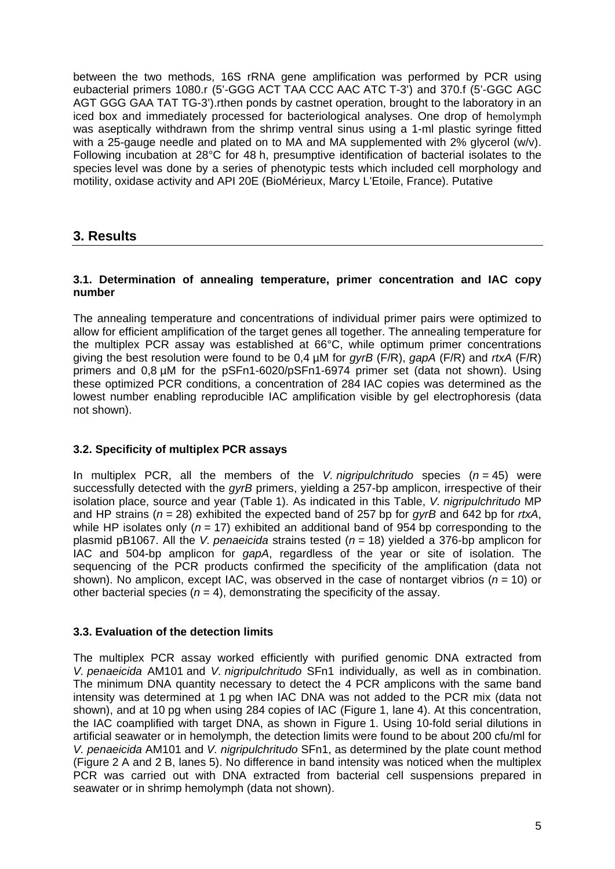between the two methods, 16S rRNA gene amplification was performed by PCR using eubacterial primers 1080.r (5'-GGG ACT TAA CCC AAC ATC T-3') and 370.f (5'-GGC AGC AGT GGG GAA TAT TG-3'). rthen ponds by castnet operation, brought to the laboratory in an iced box and immediately processed for bacteriological analyses. One drop of hemolymph was aseptically withdrawn from the shrimp ventral sinus using a 1-ml plastic syringe fitted with a 25-gauge needle and plated on to MA and MA supplemented with 2% glycerol (w/v). Following incubation at 28°C for 48 h, presumptive identification of bacterial isolates to the species level was done by a series of phenotypic tests which included cell morphology and motility, oxidase activity and API 20E (BioMérieux, Marcy L'Etoile, France). Putative

# **3. Results**

#### **3.1. Determination of annealing temperature, primer concentration and IAC copy number**

The annealing temperature and concentrations of individual primer pairs were optimized to allow for efficient amplification of the target genes all together. The annealing temperature for the multiplex PCR assay was established at 66°C, while optimum primer concentrations giving the best resolution were found to be 0,4 µM for *gyrB* (F/R), *gapA* (F/R) and *rtxA* (F/R) primers and 0,8 µM for the pSFn1-6020/pSFn1-6974 primer set (data not shown). Using these optimized PCR conditions, a concentration of 284 IAC copies was determined as the lowest number enabling reproducible IAC amplification visible by gel electrophoresis (data not shown).

### **3.2. Specificity of multiplex PCR assays**

In multiplex PCR, all the members of the *V. nigripulchritudo* species (*n* = 45) were successfully detected with the *gyrB* primers, yielding a 257-bp amplicon, irrespective of their isolation place, source and year (Table 1). As indicated in this Table, *V. nigripulchritudo* MP and HP strains (*n* = 28) exhibited the expected band of 257 bp for *gyrB* and 642 bp for *rtxA*, while HP isolates only ( $n = 17$ ) exhibited an additional band of 954 bp corresponding to the plasmid pB1067. All the *V. penaeicida* strains tested (*n* = 18) yielded a 376-bp amplicon for IAC and 504-bp amplicon for *gapA*, regardless of the year or site of isolation. The sequencing of the PCR products confirmed the specificity of the amplification (data not shown). No amplicon, except IAC, was observed in the case of nontarget vibrios ( $n = 10$ ) or other bacterial species ( $n = 4$ ), demonstrating the specificity of the assay.

#### **3.3. Evaluation of the detection limits**

The multiplex PCR assay worked efficiently with purified genomic DNA extracted from *V. penaeicida* AM101 and *V. nigripulchritudo* SFn1 individually, as well as in combination. The minimum DNA quantity necessary to detect the 4 PCR amplicons with the same band intensity was determined at 1 pg when IAC DNA was not added to the PCR mix (data not shown), and at 10 pg when using 284 copies of IAC (Figure 1, lane 4). At this concentration, the IAC coamplified with target DNA, as shown in Figure 1. Using 10-fold serial dilutions in artificial seawater or in hemolymph, the detection limits were found to be about 200 cfu/ml for *V. penaeicida* AM101 and *V. nigripulchritudo* SFn1, as determined by the plate count method (Figure 2 A and 2 B, lanes 5). No difference in band intensity was noticed when the multiplex PCR was carried out with DNA extracted from bacterial cell suspensions prepared in seawater or in shrimp hemolymph (data not shown).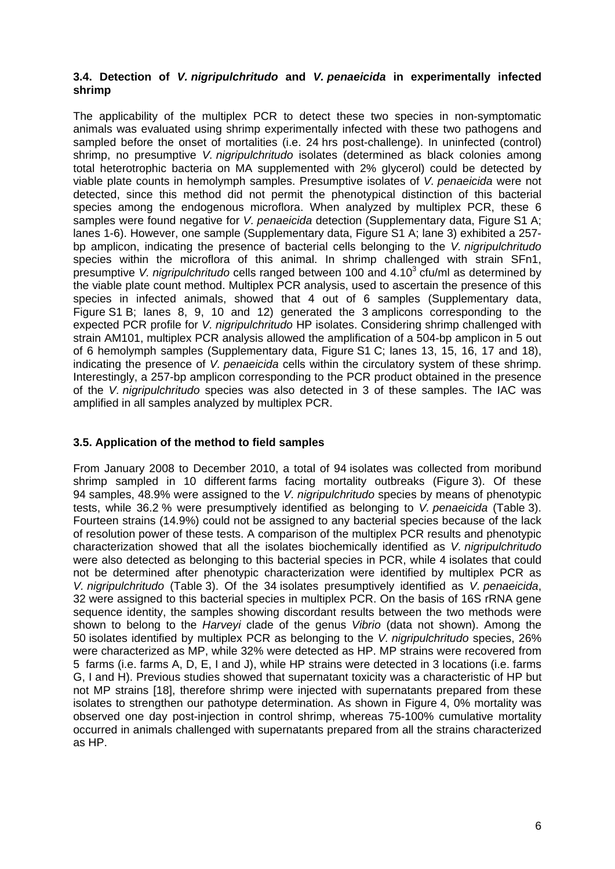#### **3.4. Detection of** *V. nigripulchritudo* **and** *V. penaeicida* **in experimentally infected shrimp**

The applicability of the multiplex PCR to detect these two species in non-symptomatic animals was evaluated using shrimp experimentally infected with these two pathogens and sampled before the onset of mortalities (i.e. 24 hrs post-challenge). In uninfected (control) shrimp, no presumptive *V. nigripulchritudo* isolates (determined as black colonies among total heterotrophic bacteria on MA supplemented with 2% glycerol) could be detected by viable plate counts in hemolymph samples. Presumptive isolates of *V. penaeicida* were not detected, since this method did not permit the phenotypical distinction of this bacterial species among the endogenous microflora. When analyzed by multiplex PCR, these 6 samples were found negative for *V. penaeicida* detection (Supplementary data, Figure S1 A; lanes 1-6). However, one sample (Supplementary data, Figure S1 A; lane 3) exhibited a 257 bp amplicon, indicating the presence of bacterial cells belonging to the *V. nigripulchritudo* species within the microflora of this animal. In shrimp challenged with strain SFn1, presumptive V. nigripulchritudo cells ranged between 100 and 4.10<sup>3</sup> cfu/ml as determined by the viable plate count method. Multiplex PCR analysis, used to ascertain the presence of this species in infected animals, showed that 4 out of 6 samples (Supplementary data, Figure S1 B; lanes 8, 9, 10 and 12) generated the 3 amplicons corresponding to the expected PCR profile for *V. nigripulchritudo* HP isolates. Considering shrimp challenged with strain AM101, multiplex PCR analysis allowed the amplification of a 504-bp amplicon in 5 out of 6 hemolymph samples (Supplementary data, Figure S1 C; lanes 13, 15, 16, 17 and 18), indicating the presence of *V. penaeicida* cells within the circulatory system of these shrimp. Interestingly, a 257-bp amplicon corresponding to the PCR product obtained in the presence of the *V. nigripulchritudo* species was also detected in 3 of these samples. The IAC was amplified in all samples analyzed by multiplex PCR.

#### **3.5. Application of the method to field samples**

From January 2008 to December 2010, a total of 94 isolates was collected from moribund shrimp sampled in 10 different farms facing mortality outbreaks (Figure 3). Of these 94 samples, 48.9% were assigned to the *V. nigripulchritudo* species by means of phenotypic tests, while 36.2 % were presumptively identified as belonging to *V. penaeicida* (Table 3). Fourteen strains (14.9%) could not be assigned to any bacterial species because of the lack of resolution power of these tests. A comparison of the multiplex PCR results and phenotypic characterization showed that all the isolates biochemically identified as *V. nigripulchritudo* were also detected as belonging to this bacterial species in PCR, while 4 isolates that could not be determined after phenotypic characterization were identified by multiplex PCR as *V. nigripulchritudo* (Table 3). Of the 34 isolates presumptively identified as *V. penaeicida*, 32 were assigned to this bacterial species in multiplex PCR. On the basis of 16S rRNA gene sequence identity, the samples showing discordant results between the two methods were shown to belong to the *Harveyi* clade of the genus *Vibrio* (data not shown). Among the 50 isolates identified by multiplex PCR as belonging to the *V. nigripulchritudo* species, 26% were characterized as MP, while 32% were detected as HP. MP strains were recovered from 5 farms (i.e. farms A, D, E, I and J), while HP strains were detected in 3 locations (i.e. farms G, I and H). Previous studies showed that supernatant toxicity was a characteristic of HP but not MP strains [18], therefore shrimp were injected with supernatants prepared from these isolates to strengthen our pathotype determination. As shown in Figure 4, 0% mortality was observed one day post-injection in control shrimp, whereas 75-100% cumulative mortality occurred in animals challenged with supernatants prepared from all the strains characterized as HP.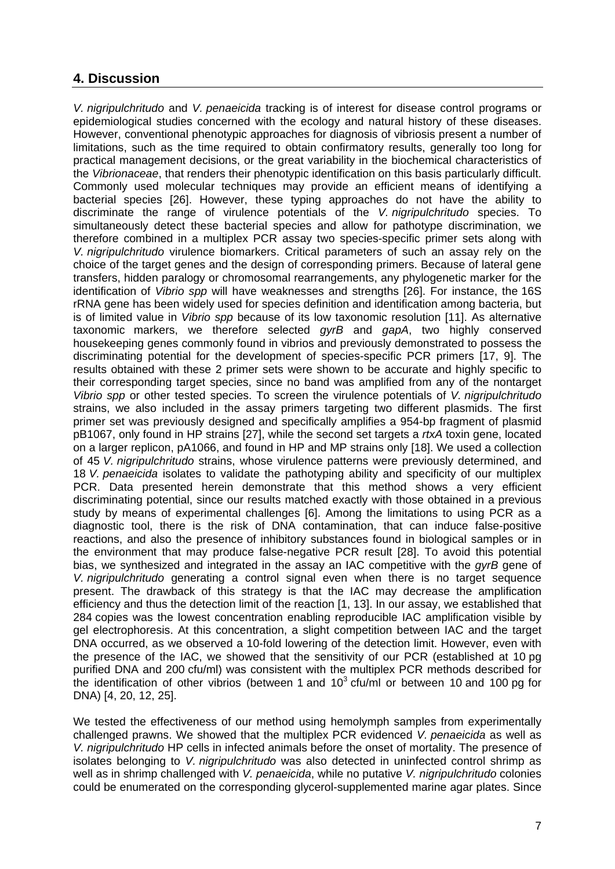# **4. Discussion**

*V. nigripulchritudo* and *V. penaeicida* tracking is of interest for disease control programs or epidemiological studies concerned with the ecology and natural history of these diseases. However, conventional phenotypic approaches for diagnosis of vibriosis present a number of limitations, such as the time required to obtain confirmatory results, generally too long for practical management decisions, or the great variability in the biochemical characteristics of the *Vibrionaceae*, that renders their phenotypic identification on this basis particularly difficult. Commonly used molecular techniques may provide an efficient means of identifying a bacterial species [26]. However, these typing approaches do not have the ability to discriminate the range of virulence potentials of the *V. nigripulchritudo* species. To simultaneously detect these bacterial species and allow for pathotype discrimination, we therefore combined in a multiplex PCR assay two species-specific primer sets along with *V. nigripulchritudo* virulence biomarkers. Critical parameters of such an assay rely on the choice of the target genes and the design of corresponding primers. Because of lateral gene transfers, hidden paralogy or chromosomal rearrangements, any phylogenetic marker for the identification of *Vibrio spp* will have weaknesses and strengths [26]. For instance, the 16S rRNA gene has been widely used for species definition and identification among bacteria, but is of limited value in *Vibrio spp* because of its low taxonomic resolution [11]. As alternative taxonomic markers, we therefore selected *gyrB* and *gapA*, two highly conserved housekeeping genes commonly found in vibrios and previously demonstrated to possess the discriminating potential for the development of species-specific PCR primers [17, 9]. The results obtained with these 2 primer sets were shown to be accurate and highly specific to their corresponding target species, since no band was amplified from any of the nontarget *Vibrio spp* or other tested species. To screen the virulence potentials of *V. nigripulchritudo* strains, we also included in the assay primers targeting two different plasmids. The first primer set was previously designed and specifically amplifies a 954-bp fragment of plasmid pB1067, only found in HP strains [27], while the second set targets a *rtxA* toxin gene, located on a larger replicon, pA1066, and found in HP and MP strains only [18]. We used a collection of 45 *V. nigripulchritudo* strains, whose virulence patterns were previously determined, and 18 *V. penaeicida* isolates to validate the pathotyping ability and specificity of our multiplex PCR. Data presented herein demonstrate that this method shows a very efficient discriminating potential, since our results matched exactly with those obtained in a previous study by means of experimental challenges [6]. Among the limitations to using PCR as a diagnostic tool, there is the risk of DNA contamination, that can induce false-positive reactions, and also the presence of inhibitory substances found in biological samples or in the environment that may produce false-negative PCR result [28]. To avoid this potential bias, we synthesized and integrated in the assay an IAC competitive with the *gyrB* gene of *V. nigripulchritudo* generating a control signal even when there is no target sequence present. The drawback of this strategy is that the IAC may decrease the amplification efficiency and thus the detection limit of the reaction [1, 13]. In our assay, we established that 284 copies was the lowest concentration enabling reproducible IAC amplification visible by gel electrophoresis. At this concentration, a slight competition between IAC and the target DNA occurred, as we observed a 10-fold lowering of the detection limit. However, even with the presence of the IAC, we showed that the sensitivity of our PCR (established at 10 pg purified DNA and 200 cfu/ml) was consistent with the multiplex PCR methods described for the identification of other vibrios (between 1 and  $10<sup>3</sup>$  cfu/ml or between 10 and 100 pg for DNA) [4, 20, 12, 25].

We tested the effectiveness of our method using hemolymph samples from experimentally challenged prawns. We showed that the multiplex PCR evidenced *V. penaeicida* as well as *V. nigripulchritudo* HP cells in infected animals before the onset of mortality. The presence of isolates belonging to *V. nigripulchritudo* was also detected in uninfected control shrimp as well as in shrimp challenged with *V. penaeicida*, while no putative *V. nigripulchritudo* colonies could be enumerated on the corresponding glycerol-supplemented marine agar plates. Since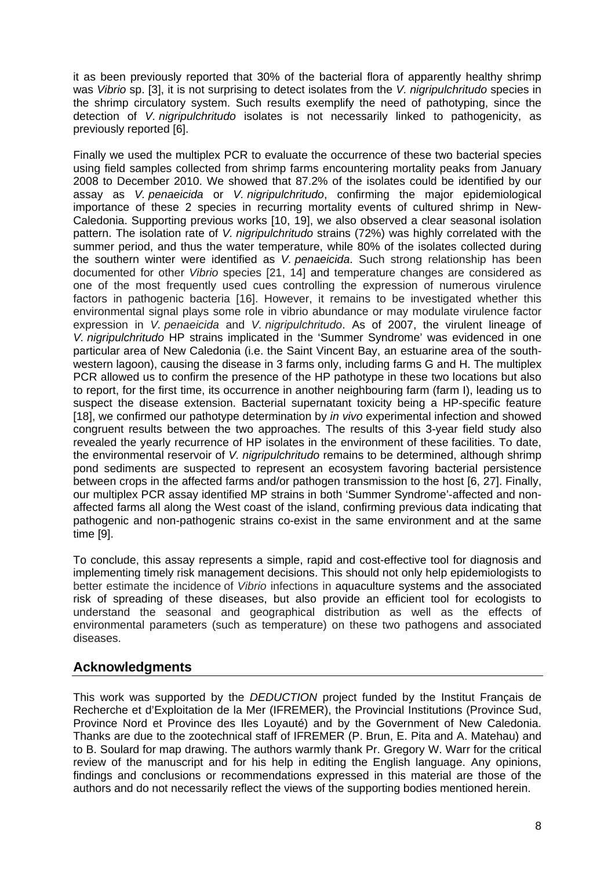it as been previously reported that 30% of the bacterial flora of apparently healthy shrimp was *Vibrio* sp. [3], it is not surprising to detect isolates from the *V. nigripulchritudo* species in the shrimp circulatory system. Such results exemplify the need of pathotyping, since the detection of *V. nigripulchritudo* isolates is not necessarily linked to pathogenicity, as previously reported [6].

Finally we used the multiplex PCR to evaluate the occurrence of these two bacterial species using field samples collected from shrimp farms encountering mortality peaks from January 2008 to December 2010. We showed that 87.2% of the isolates could be identified by our assay as *V. penaeicida* or *V. nigripulchritudo*, confirming the major epidemiological importance of these 2 species in recurring mortality events of cultured shrimp in New-Caledonia. Supporting previous works [10, 19], we also observed a clear seasonal isolation pattern. The isolation rate of *V. nigripulchritudo* strains (72%) was highly correlated with the summer period, and thus the water temperature, while 80% of the isolates collected during the southern winter were identified as *V. penaeicida*. Such strong relationship has been documented for other *Vibrio* species [21, 14] and temperature changes are considered as one of the most frequently used cues controlling the expression of numerous virulence factors in pathogenic bacteria [16]. However, it remains to be investigated whether this environmental signal plays some role in vibrio abundance or may modulate virulence factor expression in *V. penaeicida* and *V. nigripulchritudo*. As of 2007, the virulent lineage of *V. nigripulchritudo* HP strains implicated in the 'Summer Syndrome' was evidenced in one particular area of New Caledonia (i.e. the Saint Vincent Bay, an estuarine area of the southwestern lagoon), causing the disease in 3 farms only, including farms G and H. The multiplex PCR allowed us to confirm the presence of the HP pathotype in these two locations but also to report, for the first time, its occurrence in another neighbouring farm (farm I), leading us to suspect the disease extension. Bacterial supernatant toxicity being a HP-specific feature [18], we confirmed our pathotype determination by *in vivo* experimental infection and showed congruent results between the two approaches. The results of this 3-year field study also revealed the yearly recurrence of HP isolates in the environment of these facilities. To date, the environmental reservoir of *V. nigripulchritudo* remains to be determined, although shrimp pond sediments are suspected to represent an ecosystem favoring bacterial persistence between crops in the affected farms and/or pathogen transmission to the host [6, 27]. Finally, our multiplex PCR assay identified MP strains in both 'Summer Syndrome'-affected and nonaffected farms all along the West coast of the island, confirming previous data indicating that pathogenic and non-pathogenic strains co-exist in the same environment and at the same time [9].

To conclude, this assay represents a simple, rapid and cost-effective tool for diagnosis and implementing timely risk management decisions. This should not only help epidemiologists to better estimate the incidence of *Vibrio* infections in aquaculture systems and the associated risk of spreading of these diseases, but also provide an efficient tool for ecologists to understand the seasonal and geographical distribution as well as the effects of environmental parameters (such as temperature) on these two pathogens and associated diseases.

# **Acknowledgments**

This work was supported by the *DEDUCTION* project funded by the Institut Français de Recherche et d'Exploitation de la Mer (IFREMER), the Provincial Institutions (Province Sud, Province Nord et Province des Iles Loyauté) and by the Government of New Caledonia. Thanks are due to the zootechnical staff of IFREMER (P. Brun, E. Pita and A. Matehau) and to B. Soulard for map drawing. The authors warmly thank Pr. Gregory W. Warr for the critical review of the manuscript and for his help in editing the English language. Any opinions, findings and conclusions or recommendations expressed in this material are those of the authors and do not necessarily reflect the views of the supporting bodies mentioned herein.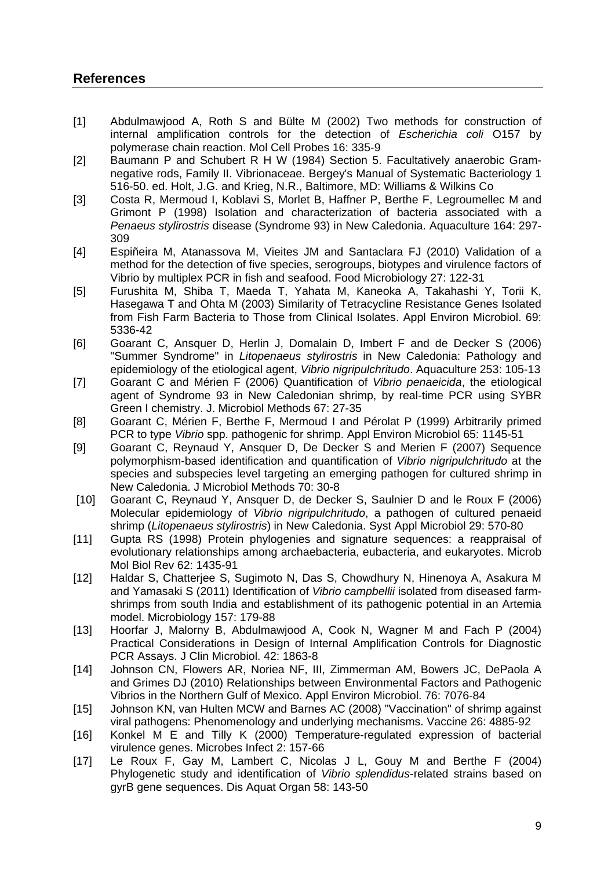# **References**

- [1] Abdulmawjood A, Roth S and Bülte M (2002) Two methods for construction of internal amplification controls for the detection of *Escherichia coli* O157 by polymerase chain reaction. Mol Cell Probes 16: 335-9
- [2] Baumann P and Schubert R H W (1984) Section 5. Facultatively anaerobic Gramnegative rods, Family II. Vibrionaceae. Bergey's Manual of Systematic Bacteriology 1 516-50. ed. Holt, J.G. and Krieg, N.R., Baltimore, MD: Williams & Wilkins Co
- [3] Costa R, Mermoud I, Koblavi S, Morlet B, Haffner P, Berthe F, Legroumellec M and Grimont P (1998) Isolation and characterization of bacteria associated with a *Penaeus stylirostris* disease (Syndrome 93) in New Caledonia. Aquaculture 164: 297- 309
- [4] Espiñeira M, Atanassova M, Vieites JM and Santaclara FJ (2010) Validation of a method for the detection of five species, serogroups, biotypes and virulence factors of Vibrio by multiplex PCR in fish and seafood. Food Microbiology 27: 122-31
- [5] Furushita M, Shiba T, Maeda T, Yahata M, Kaneoka A, Takahashi Y, Torii K, Hasegawa T and Ohta M (2003) Similarity of Tetracycline Resistance Genes Isolated from Fish Farm Bacteria to Those from Clinical Isolates. Appl Environ Microbiol. 69: 5336-42
- [6] Goarant C, Ansquer D, Herlin J, Domalain D, Imbert F and de Decker S (2006) "Summer Syndrome" in *Litopenaeus stylirostris* in New Caledonia: Pathology and epidemiology of the etiological agent, *Vibrio nigripulchritudo*. Aquaculture 253: 105-13
- [7] Goarant C and Mérien F (2006) Quantification of *Vibrio penaeicida*, the etiological agent of Syndrome 93 in New Caledonian shrimp, by real-time PCR using SYBR Green I chemistry. J. Microbiol Methods 67: 27-35
- [8] Goarant C, Mérien F, Berthe F, Mermoud I and Pérolat P (1999) Arbitrarily primed PCR to type *Vibrio* spp. pathogenic for shrimp. Appl Environ Microbiol 65: 1145-51
- [9] Goarant C, Reynaud Y, Ansquer D, De Decker S and Merien F (2007) Sequence polymorphism-based identification and quantification of *Vibrio nigripulchritudo* at the species and subspecies level targeting an emerging pathogen for cultured shrimp in New Caledonia. J Microbiol Methods 70: 30-8
- [10] Goarant C, Reynaud Y, Ansquer D, de Decker S, Saulnier D and le Roux F (2006) Molecular epidemiology of *Vibrio nigripulchritudo*, a pathogen of cultured penaeid shrimp (*Litopenaeus stylirostris*) in New Caledonia. Syst Appl Microbiol 29: 570-80
- [11] Gupta RS (1998) Protein phylogenies and signature sequences: a reappraisal of evolutionary relationships among archaebacteria, eubacteria, and eukaryotes. Microb Mol Biol Rev 62: 1435-91
- [12] Haldar S, Chatterjee S, Sugimoto N, Das S, Chowdhury N, Hinenoya A, Asakura M and Yamasaki S (2011) Identification of *Vibrio campbellii* isolated from diseased farmshrimps from south India and establishment of its pathogenic potential in an Artemia model. Microbiology 157: 179-88
- [13] Hoorfar J, Malorny B, Abdulmawjood A, Cook N, Wagner M and Fach P (2004) Practical Considerations in Design of Internal Amplification Controls for Diagnostic PCR Assays. J Clin Microbiol. 42: 1863-8
- [14] Johnson CN, Flowers AR, Noriea NF, III, Zimmerman AM, Bowers JC, DePaola A and Grimes DJ (2010) Relationships between Environmental Factors and Pathogenic Vibrios in the Northern Gulf of Mexico. Appl Environ Microbiol. 76: 7076-84
- [15] Johnson KN, van Hulten MCW and Barnes AC (2008) "Vaccination" of shrimp against viral pathogens: Phenomenology and underlying mechanisms. Vaccine 26: 4885-92
- [16] Konkel M E and Tilly K (2000) Temperature-regulated expression of bacterial virulence genes. Microbes Infect 2: 157-66
- [17] Le Roux F, Gay M, Lambert C, Nicolas J L, Gouy M and Berthe F (2004) Phylogenetic study and identification of *Vibrio splendidus*-related strains based on gyrB gene sequences. Dis Aquat Organ 58: 143-50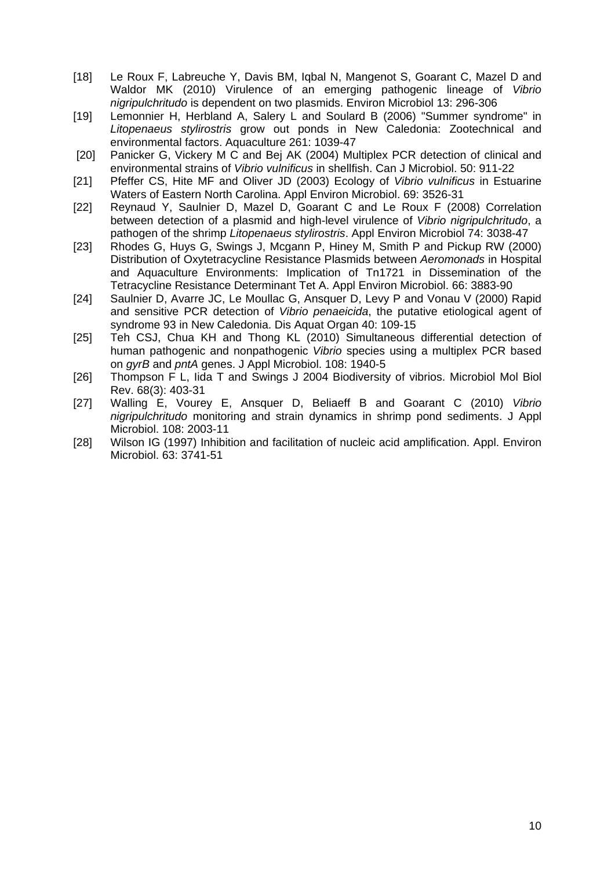- [18] Le Roux F, Labreuche Y, Davis BM, Igbal N, Mangenot S, Goarant C, Mazel D and Waldor MK (2010) Virulence of an emerging pathogenic lineage of *Vibrio nigripulchritudo* is dependent on two plasmids. Environ Microbiol 13: 296-306
- [19] Lemonnier H, Herbland A, Salery L and Soulard B (2006) "Summer syndrome" in *Litopenaeus stylirostris* grow out ponds in New Caledonia: Zootechnical and environmental factors. Aquaculture 261: 1039-47
- [20] Panicker G, Vickery M C and Bej AK (2004) Multiplex PCR detection of clinical and environmental strains of *Vibrio vulnificus* in shellfish. Can J Microbiol. 50: 911-22
- [21] Pfeffer CS, Hite MF and Oliver JD (2003) Ecology of *Vibrio vulnificus* in Estuarine Waters of Eastern North Carolina. Appl Environ Microbiol. 69: 3526-31
- [22] Reynaud Y, Saulnier D, Mazel D, Goarant C and Le Roux F (2008) Correlation between detection of a plasmid and high-level virulence of *Vibrio nigripulchritudo*, a pathogen of the shrimp *Litopenaeus stylirostris*. Appl Environ Microbiol 74: 3038-47
- [23] Rhodes G, Huys G, Swings J, Mcgann P, Hiney M, Smith P and Pickup RW (2000) Distribution of Oxytetracycline Resistance Plasmids between *Aeromonads* in Hospital and Aquaculture Environments: Implication of Tn1721 in Dissemination of the Tetracycline Resistance Determinant Tet A. Appl Environ Microbiol. 66: 3883-90
- [24] Saulnier D, Avarre JC, Le Moullac G, Ansquer D, Levy P and Vonau V (2000) Rapid and sensitive PCR detection of *Vibrio penaeicida*, the putative etiological agent of syndrome 93 in New Caledonia. Dis Aquat Organ 40: 109-15
- [25] Teh CSJ, Chua KH and Thong KL (2010) Simultaneous differential detection of human pathogenic and nonpathogenic *Vibrio* species using a multiplex PCR based on *gyrB* and *pntA* genes. J Appl Microbiol. 108: 1940-5
- [26] Thompson F L, Iida T and Swings J 2004 Biodiversity of vibrios. Microbiol Mol Biol Rev. 68(3): 403-31
- [27] Walling E, Vourey E, Ansquer D, Beliaeff B and Goarant C (2010) *Vibrio nigripulchritudo* monitoring and strain dynamics in shrimp pond sediments. J Appl Microbiol. 108: 2003-11
- [28] Wilson IG (1997) Inhibition and facilitation of nucleic acid amplification. Appl. Environ Microbiol. 63: 3741-51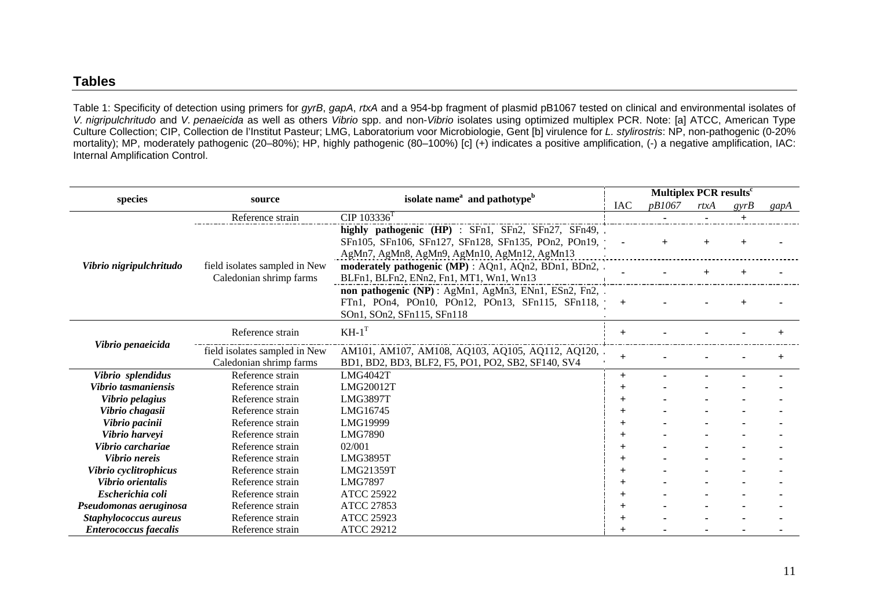#### **Tables**

Table 1: Specificity of detection using primers for *gyrB*, *gapA*, *rtxA* and a 954-bp fragment of plasmid pB1067 tested on clinical and environmental isolates of *V. nigripulchritudo* and *V. penaeicida* as well as others *Vibrio* spp. and non-*Vibrio* isolates using optimized multiplex PCR. Note: [a] ATCC, American Type Culture Collection; CIP, Collection de l'Institut Pasteur; LMG, Laboratorium voor Microbiologie, Gent [b] virulence for *L. stylirostris*: NP, non-pathogenic (0-20% mortality); MP, moderately pathogenic (20–80%); HP, highly pathogenic (80–100%) [c] (+) indicates a positive amplification, (-) a negative amplification, IAC: Internal Amplification Control.

| species                      | source                                                   | isolate name <sup>a</sup> and pathotype <sup>b</sup>                                                                                                      |                | Multiplex PCR results <sup>c</sup> |      |        |      |  |
|------------------------------|----------------------------------------------------------|-----------------------------------------------------------------------------------------------------------------------------------------------------------|----------------|------------------------------------|------|--------|------|--|
|                              |                                                          |                                                                                                                                                           |                | <i>pB1067</i>                      | rtxA | gyrB   | gapA |  |
|                              | Reference strain                                         | $CIP 103336^{T}$                                                                                                                                          |                |                                    |      | $^{+}$ |      |  |
|                              | field isolates sampled in New<br>Caledonian shrimp farms | highly pathogenic (HP) : SFn1, SFn2, SFn27, SFn49,<br>SFn105, SFn106, SFn127, SFn128, SFn135, POn2, POn19,<br>AgMn7, AgMn8, AgMn9, AgMn10, AgMn12, AgMn13 |                |                                    |      |        |      |  |
| Vibrio nigripulchritudo      |                                                          | moderately pathogenic (MP) : AQn1, AQn2, BDn1, BDn2,<br>BLFn1, BLFn2, ENn2, Fn1, MT1, Wn1, Wn13                                                           |                |                                    |      |        |      |  |
|                              |                                                          | non pathogenic (NP): AgMn1, AgMn3, ENn1, ESn2, Fn2,<br>FTn1, POn4, POn10, POn12, POn13, SFn115, SFn118,<br>SOn1, SOn2, SFn115, SFn118                     | $+$            |                                    |      |        |      |  |
| Vibrio penaeicida            | Reference strain                                         | $KH-1^{T}$                                                                                                                                                | $+$            |                                    |      |        |      |  |
|                              | field isolates sampled in New<br>Caledonian shrimp farms | AM101, AM107, AM108, AQ103, AQ105, AQ112, AQ120,<br>BD1, BD2, BD3, BLF2, F5, PO1, PO2, SB2, SF140, SV4                                                    | $^{+}$         |                                    |      |        |      |  |
| Vibrio splendidus            | Reference strain<br><b>LMG4042T</b>                      |                                                                                                                                                           | $+$            |                                    |      |        |      |  |
| Vibrio tasmaniensis          | Reference strain                                         | LMG20012T                                                                                                                                                 |                |                                    |      |        |      |  |
| Vibrio pelagius              | Reference strain                                         | <b>LMG3897T</b>                                                                                                                                           |                |                                    |      |        |      |  |
| Vibrio chagasii              | Reference strain                                         | LMG16745                                                                                                                                                  |                |                                    |      |        |      |  |
| Vibrio pacinii               | Reference strain                                         | LMG19999                                                                                                                                                  |                |                                    |      |        |      |  |
| Vibrio harveyi               | Reference strain                                         | LMG7890                                                                                                                                                   |                |                                    |      |        |      |  |
| Vibrio carchariae            | Reference strain                                         | 02/001                                                                                                                                                    |                |                                    |      |        |      |  |
| Vibrio nereis                | Reference strain                                         | <b>LMG3895T</b>                                                                                                                                           | $^{+}$         |                                    |      |        |      |  |
| Vibrio cyclitrophicus        | Reference strain                                         | LMG21359T                                                                                                                                                 |                |                                    |      |        |      |  |
| Vibrio orientalis            | Reference strain                                         | <b>LMG7897</b>                                                                                                                                            | $\overline{+}$ |                                    |      |        |      |  |
| Escherichia coli             | Reference strain                                         | <b>ATCC 25922</b>                                                                                                                                         |                |                                    |      |        |      |  |
| Pseudomonas aeruginosa       | Reference strain                                         | <b>ATCC 27853</b>                                                                                                                                         |                |                                    |      |        |      |  |
| Staphylococcus aureus        | Reference strain                                         | <b>ATCC 25923</b>                                                                                                                                         |                |                                    |      |        |      |  |
| <b>Enterococcus faecalis</b> | Reference strain                                         | <b>ATCC 29212</b>                                                                                                                                         |                |                                    |      |        |      |  |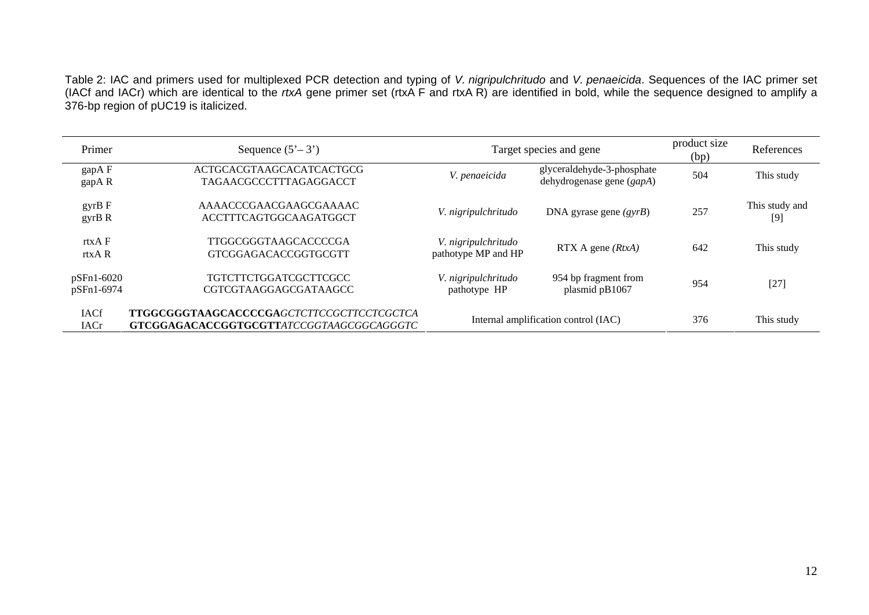Table 2: IAC and primers used for multiplexed PCR detection and typing of *V. nigripulchritudo* and *V. penaeicida*. Sequences of the IAC primer set (IACf and IACr) which are identical to the *rtxA* gene primer set (rtxA F and rtxA R) are identified in bold, while the sequence designed to amplify a 376-bp region of pUC19 is italicized.

| Primer                     | Sequence $(5'-3')$                                                                           | Target species and gene                    |                                                           | product size<br>(bp) | References              |
|----------------------------|----------------------------------------------------------------------------------------------|--------------------------------------------|-----------------------------------------------------------|----------------------|-------------------------|
| gapA F<br>gapAR            | <b>ACTGCACGTAAGCACATCACTGCG</b><br>TAGAACGCCCTTTAGAGGACCT                                    | V. penaeicida                              | glyceraldehyde-3-phosphate<br>dehydrogenase gene $(gapA)$ | 504                  | This study              |
| $gyrB$ F<br>gyrB R         | AAAACCCGAACGAAGCGAAAAC<br><b>ACCTTTCAGTGGCAAGATGGCT</b>                                      | V. nigripulchritudo                        | DNA gyrase gene $(gyrB)$                                  | 257                  | This study and<br>$[9]$ |
| rtxA F<br>rtxA R           | TTGGCGGGTAAGCACCCCGA<br>GTCGGAGACACCGGTGCGTT                                                 | V. nigripulchritudo<br>pathotype MP and HP | $RTX$ A gene $(RtxA)$                                     | 642                  | This study              |
| pSFn1-6020<br>pSFn1-6974   | <b>TGTCTTCTGGATCGCTTCGCC</b><br><b>CGTCGTAAGGAGCGATAAGCC</b>                                 | V. nigripulchritudo<br>pathotype HP        | 954 bp fragment from<br>plasmid pB1067                    | 954                  | $[27]$                  |
| <b>IACf</b><br><b>IACr</b> | <b>TTGGCGGGTAAGCACCCCGAGCTCTTCCGCTTCCTCGCTCA</b><br>GTCGGAGACACCGGTGCGTTATCCGGTAAGCGGCAGGGTC |                                            | Internal amplification control (IAC)                      | 376                  | This study              |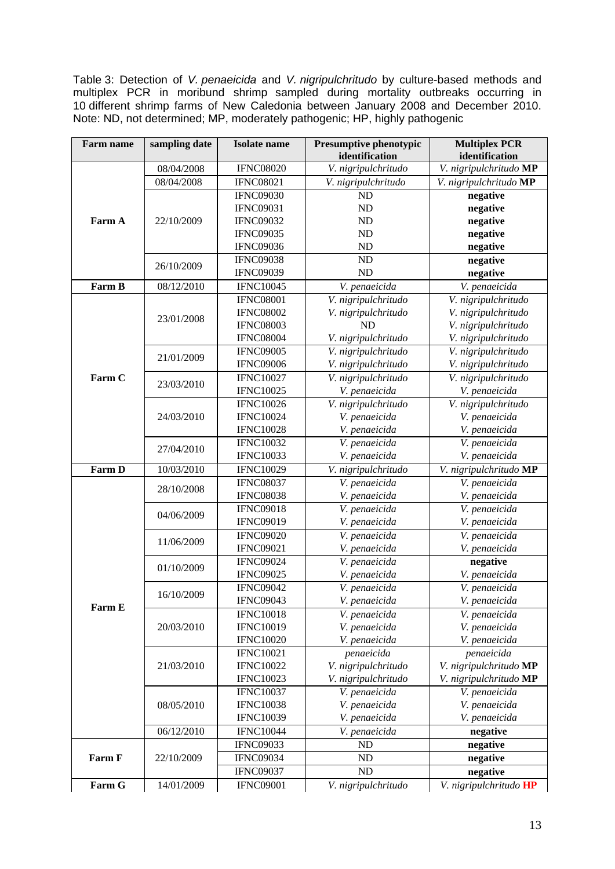Table 3: Detection of *V. penaeicida* and *V. nigripulchritudo* by culture-based methods and multiplex PCR in moribund shrimp sampled during mortality outbreaks occurring in 10 different shrimp farms of New Caledonia between January 2008 and December 2010. Note: ND, not determined; MP, moderately pathogenic; HP, highly pathogenic

| <b>Farm name</b> | sampling date | <b>Isolate</b> name | Presumptive phenotypic<br>identification | <b>Multiplex PCR</b><br>identification |  |
|------------------|---------------|---------------------|------------------------------------------|----------------------------------------|--|
|                  | 08/04/2008    | <b>IFNC08020</b>    | V. nigripulchritudo                      | V. nigripulchritudo MP                 |  |
| Farm A           | 08/04/2008    | <b>IFNC08021</b>    | V. nigripulchritudo                      | V. nigripulchritudo MP                 |  |
|                  |               | <b>IFNC09030</b>    | ND                                       | negative                               |  |
|                  |               | <b>IFNC09031</b>    | ND                                       | negative                               |  |
|                  | 22/10/2009    | <b>IFNC09032</b>    | ND                                       | negative                               |  |
|                  |               | <b>IFNC09035</b>    | ND                                       | negative                               |  |
|                  |               | <b>IFNC09036</b>    | ND                                       | negative                               |  |
|                  |               | <b>IFNC09038</b>    | <b>ND</b>                                | negative                               |  |
|                  | 26/10/2009    | <b>IFNC09039</b>    | <b>ND</b>                                | negative                               |  |
| Farm B           | 08/12/2010    | <b>IFNC10045</b>    | V. penaeicida                            | V. penaeicida                          |  |
|                  |               | <b>IFNC08001</b>    | V. nigripulchritudo                      | V. nigripulchritudo                    |  |
|                  |               | <b>IFNC08002</b>    | V. nigripulchritudo                      | V. nigripulchritudo                    |  |
|                  | 23/01/2008    | <b>IFNC08003</b>    | <b>ND</b>                                | V. nigripulchritudo                    |  |
|                  |               | <b>IFNC08004</b>    | V. nigripulchritudo                      | V. nigripulchritudo                    |  |
|                  |               | <b>IFNC09005</b>    | V. nigripulchritudo                      | V. nigripulchritudo                    |  |
|                  | 21/01/2009    | <b>IFNC09006</b>    | V. nigripulchritudo                      | V. nigripulchritudo                    |  |
| Farm C           |               | <b>IFNC10027</b>    | V. nigripulchritudo                      | V. nigripulchritudo                    |  |
|                  | 23/03/2010    | <b>IFNC10025</b>    | V. penaeicida                            | V. penaeicida                          |  |
|                  |               | <b>IFNC10026</b>    | V. nigripulchritudo                      | V. nigripulchritudo                    |  |
|                  | 24/03/2010    | <b>IFNC10024</b>    | V. penaeicida                            | V. penaeicida                          |  |
|                  |               | <b>IFNC10028</b>    | V. penaeicida                            | V. penaeicida                          |  |
|                  | 27/04/2010    | <b>IFNC10032</b>    | V. penaeicida                            | V. penaeicida                          |  |
|                  |               | <b>IFNC10033</b>    | V. penaeicida                            | V. penaeicida                          |  |
| Farm D           | 10/03/2010    | <b>IFNC10029</b>    | V. nigripulchritudo                      | V. nigripulchritudo MP                 |  |
|                  |               | <b>IFNC08037</b>    | V. penaeicida                            | V. penaeicida                          |  |
|                  | 28/10/2008    | <b>IFNC08038</b>    | V. penaeicida                            | V. penaeicida                          |  |
|                  |               | <b>IFNC09018</b>    | V. penaeicida                            | V. penaeicida                          |  |
|                  | 04/06/2009    | <b>IFNC09019</b>    | V. penaeicida                            | V. penaeicida                          |  |
|                  | 11/06/2009    | <b>IFNC09020</b>    | V. penaeicida                            | V. penaeicida                          |  |
|                  |               | <b>IFNC09021</b>    | V. penaeicida                            | V. penaeicida                          |  |
|                  | 01/10/2009    | <b>IFNC09024</b>    | V. penaeicida                            | negative                               |  |
|                  |               | <b>IFNC09025</b>    | V. penaeicida                            | V. penaeicida                          |  |
|                  | 16/10/2009    | <b>IFNC09042</b>    | V. penaeicida                            | V. penaeicida                          |  |
|                  |               | <b>IFNC09043</b>    | V. penaeicida                            | V. penaeicida                          |  |
| Farm E           | 20/03/2010    | <b>IFNC10018</b>    | V. penaeicida                            | V. penaeicida                          |  |
|                  |               | <b>IFNC10019</b>    | V. penaeicida                            | V. penaeicida                          |  |
|                  |               | <b>IFNC10020</b>    | V. penaeicida                            | V. penaeicida                          |  |
|                  |               | <b>IFNC10021</b>    | penaeicida                               | penaeicida                             |  |
|                  | 21/03/2010    | <b>IFNC10022</b>    | V. nigripulchritudo                      | V. nigripulchritudo MP                 |  |
|                  |               | <b>IFNC10023</b>    | V. nigripulchritudo                      | V. nigripulchritudo MP                 |  |
|                  |               | <b>IFNC10037</b>    | V. penaeicida                            | V. penaeicida                          |  |
|                  | 08/05/2010    | <b>IFNC10038</b>    | V. penaeicida                            | V. penaeicida                          |  |
|                  |               | <b>IFNC10039</b>    | V. penaeicida                            | V. penaeicida                          |  |
|                  | 06/12/2010    | <b>IFNC10044</b>    | V. penaeicida                            | negative                               |  |
|                  |               | <b>IFNC09033</b>    | ND                                       | negative                               |  |
| Farm F           | 22/10/2009    | <b>IFNC09034</b>    | ND                                       | negative                               |  |
|                  |               | <b>IFNC09037</b>    | ND                                       | negative                               |  |
| Farm G           | 14/01/2009    | <b>IFNC09001</b>    | V. nigripulchritudo                      | V. nigripulchritudo HP                 |  |
|                  |               |                     |                                          |                                        |  |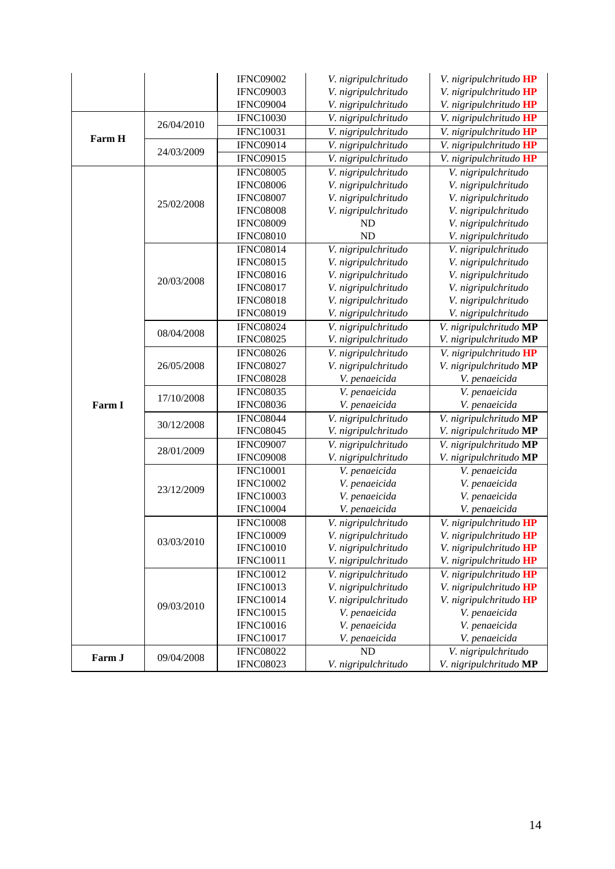|        |            | <b>IFNC09002</b> | V. nigripulchritudo | V. nigripulchritudo HP        |
|--------|------------|------------------|---------------------|-------------------------------|
|        |            | <b>IFNC09003</b> | V. nigripulchritudo | V. nigripulchritudo HP        |
|        |            | <b>IFNC09004</b> | V. nigripulchritudo | V. nigripulchritudo HP        |
|        |            | <b>IFNC10030</b> | V. nigripulchritudo | V. nigripulchritudo HP        |
| Farm H | 26/04/2010 | <b>IFNC10031</b> | V. nigripulchritudo | V. nigripulchritudo HP        |
|        |            | <b>IFNC09014</b> | V. nigripulchritudo | V. nigripulchritudo HP        |
|        | 24/03/2009 | <b>IFNC09015</b> | V. nigripulchritudo | V. nigripulchritudo HP        |
|        |            | <b>IFNC08005</b> | V. nigripulchritudo | V. nigripulchritudo           |
|        |            | <b>IFNC08006</b> | V. nigripulchritudo | V. nigripulchritudo           |
|        |            | <b>IFNC08007</b> | V. nigripulchritudo | V. nigripulchritudo           |
|        | 25/02/2008 | <b>IFNC08008</b> | V. nigripulchritudo | V. nigripulchritudo           |
|        |            | <b>IFNC08009</b> | <b>ND</b>           | V. nigripulchritudo           |
|        |            | <b>IFNC08010</b> | <b>ND</b>           | V. nigripulchritudo           |
|        |            | <b>IFNC08014</b> | V. nigripulchritudo | V. nigripulchritudo           |
|        |            | <b>IFNC08015</b> | V. nigripulchritudo | V. nigripulchritudo           |
|        |            | <b>IFNC08016</b> | V. nigripulchritudo | V. nigripulchritudo           |
|        | 20/03/2008 | <b>IFNC08017</b> | V. nigripulchritudo | V. nigripulchritudo           |
|        |            | <b>IFNC08018</b> | V. nigripulchritudo | V. nigripulchritudo           |
|        |            | <b>IFNC08019</b> | V. nigripulchritudo | V. nigripulchritudo           |
|        |            | <b>IFNC08024</b> | V. nigripulchritudo | V. nigripulchritudo MP        |
|        | 08/04/2008 | <b>IFNC08025</b> | V. nigripulchritudo | V. nigripulchritudo MP        |
|        | 26/05/2008 | <b>IFNC08026</b> | V. nigripulchritudo | V. nigripulchritudo HP        |
|        |            | <b>IFNC08027</b> | V. nigripulchritudo | V. nigripulchritudo MP        |
|        |            | <b>IFNC08028</b> | V. penaeicida       | V. penaeicida                 |
|        |            | <b>IFNC08035</b> | V. penaeicida       | V. penaeicida                 |
| Farm I | 17/10/2008 | <b>IFNC08036</b> | V. penaeicida       | V. penaeicida                 |
|        | 30/12/2008 | <b>IFNC08044</b> | V. nigripulchritudo | V. nigripulchritudo MP        |
|        |            | <b>IFNC08045</b> | V. nigripulchritudo | V. nigripulchritudo MP        |
|        | 28/01/2009 | <b>IFNC09007</b> | V. nigripulchritudo | V. nigripulchritudo MP        |
|        |            | <b>IFNC09008</b> | V. nigripulchritudo | V. nigripulchritudo MP        |
|        |            | <b>IFNC10001</b> | V. penaeicida       | V. penaeicida                 |
|        |            | <b>IFNC10002</b> | V. penaeicida       | V. penaeicida                 |
|        | 23/12/2009 | <b>IFNC10003</b> | V. penaeicida       | V. penaeicida                 |
|        |            | <b>IFNC10004</b> | V. penaeicida       | V. penaeicida                 |
|        |            | <b>IFNC10008</b> | V. nigripulchritudo | V. nigripulchritudo HP        |
|        | 03/03/2010 | <b>IFNC10009</b> | V. nigripulchritudo | V. nigripulchritudo <b>HP</b> |
|        |            | <b>IFNC10010</b> | V. nigripulchritudo | V. nigripulchritudo HP        |
|        |            | <b>IFNC10011</b> | V. nigripulchritudo | V. nigripulchritudo HP        |
|        |            | <b>IFNC10012</b> | V. nigripulchritudo | V. nigripulchritudo HP        |
|        | 09/03/2010 | <b>IFNC10013</b> | V. nigripulchritudo | V. nigripulchritudo HP        |
|        |            | <b>IFNC10014</b> | V. nigripulchritudo | V. nigripulchritudo HP        |
|        |            | <b>IFNC10015</b> | V. penaeicida       | V. penaeicida                 |
|        |            | <b>IFNC10016</b> | V. penaeicida       | V. penaeicida                 |
|        |            | <b>IFNC10017</b> | V. penaeicida       | V. penaeicida                 |
|        |            | <b>IFNC08022</b> | <b>ND</b>           | V. nigripulchritudo           |
| Farm J | 09/04/2008 | <b>IFNC08023</b> | V. nigripulchritudo | V. nigripulchritudo MP        |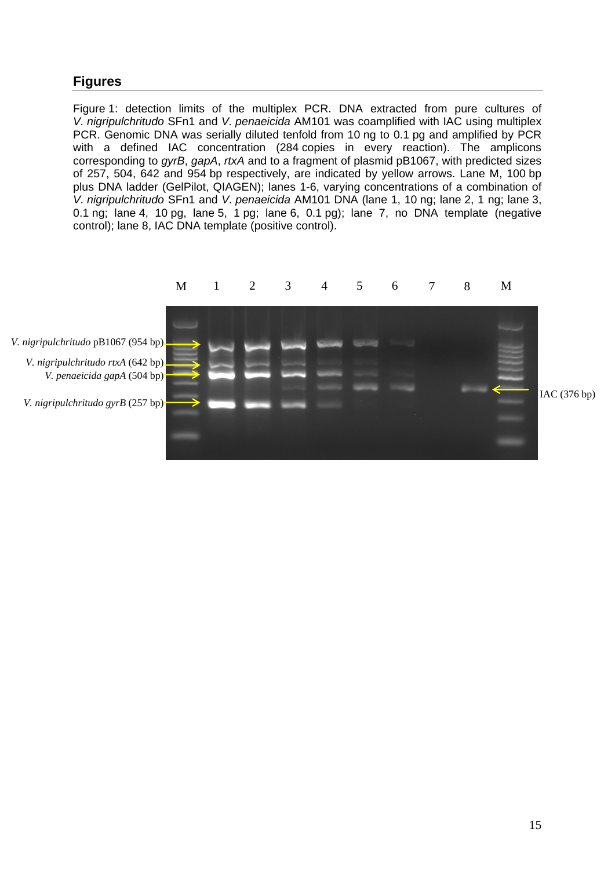# **Figures**

Figure 1: detection limits of the multiplex PCR. DNA extracted from pure cultures of *V. nigripulchritudo* SFn1 and *V. penaeicida* AM101 was coamplified with IAC using multiplex PCR. Genomic DNA was serially diluted tenfold from 10 ng to 0.1 pg and amplified by PCR with a defined IAC concentration (284 copies in every reaction). The amplicons corresponding to *gyrB*, *gapA*, *rtxA* and to a fragment of plasmid pB1067, with predicted sizes of 257, 504, 642 and 954 bp respectively, are indicated by yellow arrows. Lane M, 100 bp plus DNA ladder (GelPilot, QIAGEN); lanes 1-6, varying concentrations of a combination of *V. nigripulchritudo* SFn1 and *V. penaeicida* AM101 DNA (lane 1, 10 ng; lane 2, 1 ng; lane 3, 0.1 ng; lane 4, 10 pg, lane 5, 1 pg; lane 6, 0.1 pg); lane 7, no DNA template (negative control); lane 8, IAC DNA template (positive control).

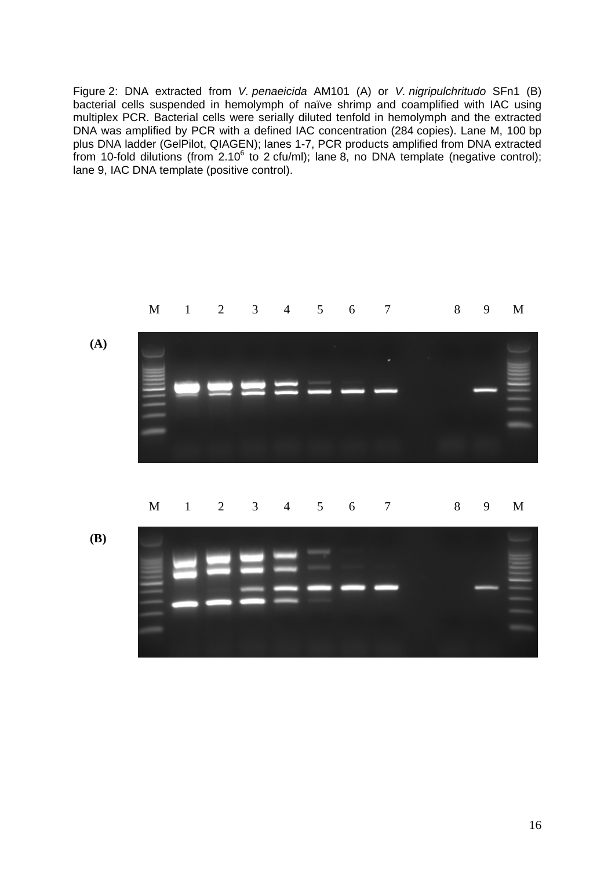Figure 2: DNA extracted from *V. penaeicida* AM101 (A) or *V. nigripulchritudo* SFn1 (B) bacterial cells suspended in hemolymph of naïve shrimp and coamplified with IAC using multiplex PCR. Bacterial cells were serially diluted tenfold in hemolymph and the extracted DNA was amplified by PCR with a defined IAC concentration (284 copies). Lane M, 100 bp plus DNA ladder (GelPilot, QIAGEN); lanes 1-7, PCR products amplified from DNA extracted from 10-fold dilutions (from 2.10 $^6$  to 2 cfu/ml); lane 8, no DNA template (negative control); lane 9, IAC DNA template (positive control).

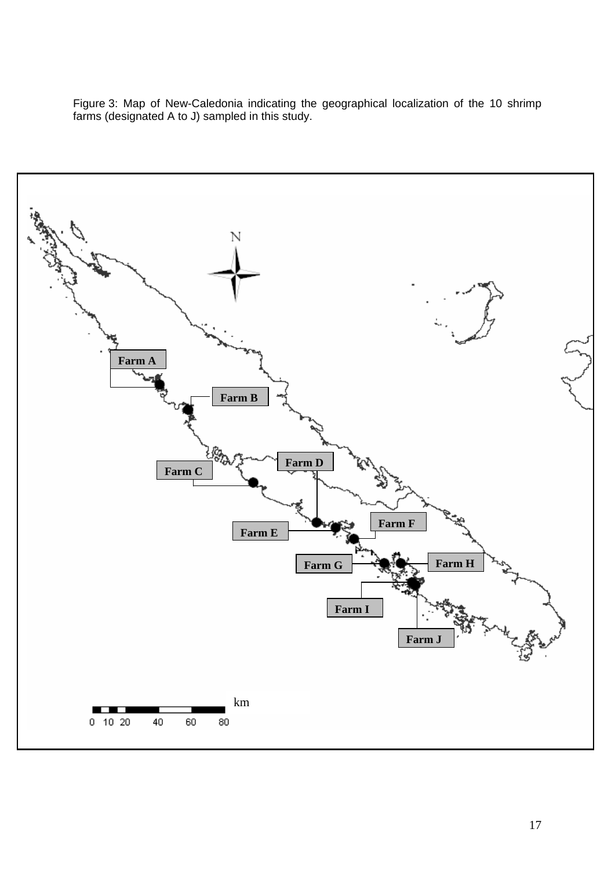Figure 3: Map of New-Caledonia indicating the geographical localization of the 10 shrimp farms (designated A to J) sampled in this study.

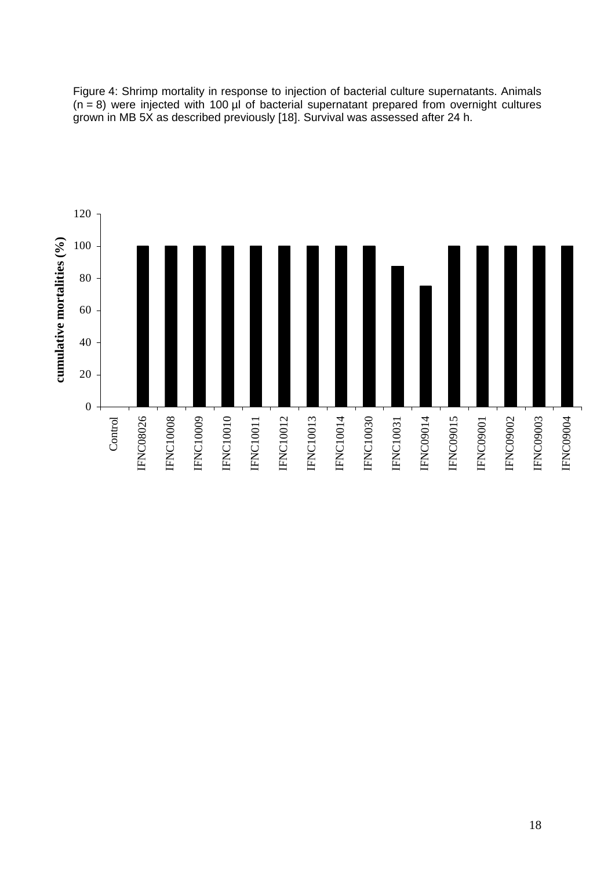Figure 4: Shrimp mortality in response to injection of bacterial culture supernatants. Animals  $(n = 8)$  were injected with 100 µl of bacterial supernatant prepared from overnight cultures grown in MB 5X as described previously [18]. Survival was assessed after 24 h.